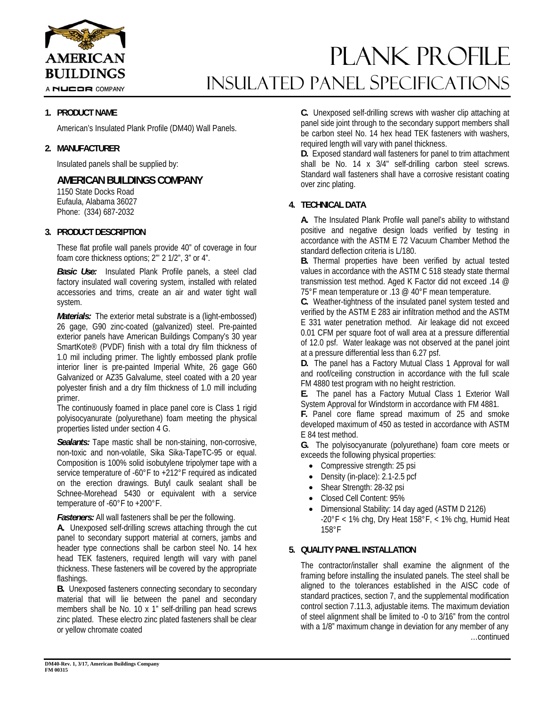

A NUCOR COMPANY

# Plank PROFILE INSULATED Panel Specifications

## **1. PRODUCT NAME**

American's Insulated Plank Profile (DM40) Wall Panels.

#### **2. MANUFACTURER**

Insulated panels shall be supplied by:

# **AMERICAN BUILDINGS COMPANY**

1150 State Docks Road Eufaula, Alabama 36027 Phone: (334) 687-2032

### **3. PRODUCT DESCRIPTION**

These flat profile wall panels provide 40" of coverage in four foam core thickness options; 2"' 2 1/2", 3" or 4".

*Basic Use:* Insulated Plank Profile panels, a steel clad factory insulated wall covering system, installed with related accessories and trims, create an air and water tight wall system.

*Materials:* The exterior metal substrate is a (light-embossed) 26 gage, G90 zinc-coated (galvanized) steel. Pre-painted exterior panels have American Buildings Company's 30 year SmartKote® (PVDF) finish with a total dry film thickness of 1.0 mil including primer. The lightly embossed plank profile interior liner is pre-painted Imperial White, 26 gage G60 Galvanized or AZ35 Galvalume, steel coated with a 20 year polyester finish and a dry film thickness of 1.0 mill including primer.

The continuously foamed in place panel core is Class 1 rigid polyisocyanurate (polyurethane) foam meeting the physical properties listed under section 4 G.

**Sealants:** Tape mastic shall be non-staining, non-corrosive, non-toxic and non-volatile, Sika Sika-TapeTC-95 or equal. Composition is 100% solid isobutylene tripolymer tape with a service temperature of -60°F to +212°F required as indicated on the erection drawings. Butyl caulk sealant shall be Schnee-Morehead 5430 or equivalent with a service temperature of -60°F to +200°F.

*Fasteners:* All wall fasteners shall be per the following.

**A.** Unexposed self-drilling screws attaching through the cut panel to secondary support material at corners, jambs and header type connections shall be carbon steel No. 14 hex head TEK fasteners, required length will vary with panel thickness. These fasteners will be covered by the appropriate flashings.

**B.** Unexposed fasteners connecting secondary to secondary material that will lie between the panel and secondary members shall be No. 10 x 1" self-drilling pan head screws zinc plated. These electro zinc plated fasteners shall be clear or yellow chromate coated

**C.** Unexposed self-drilling screws with washer clip attaching at panel side joint through to the secondary support members shall be carbon steel No. 14 hex head TEK fasteners with washers, required length will vary with panel thickness.

**D.** Exposed standard wall fasteners for panel to trim attachment shall be No. 14 x 3/4" self-drilling carbon steel screws. Standard wall fasteners shall have a corrosive resistant coating over zinc plating.

## **4. TECHNICAL DATA**

**A.** The Insulated Plank Profile wall panel's ability to withstand positive and negative design loads verified by testing in accordance with the ASTM E 72 Vacuum Chamber Method the standard deflection criteria is L/180.

**B.** Thermal properties have been verified by actual tested values in accordance with the ASTM C 518 steady state thermal transmission test method. Aged K Factor did not exceed .14 @ 75°F mean temperature or .13 @ 40°F mean temperature.

**C.** Weather-tightness of the insulated panel system tested and verified by the ASTM E 283 air infiltration method and the ASTM E 331 water penetration method. Air leakage did not exceed 0.01 CFM per square foot of wall area at a pressure differential of 12.0 psf. Water leakage was not observed at the panel joint at a pressure differential less than 6.27 psf.

**D.** The panel has a Factory Mutual Class 1 Approval for wall and roof/ceiling construction in accordance with the full scale FM 4880 test program with no height restriction.

**E.** The panel has a Factory Mutual Class 1 Exterior Wall System Approval for Windstorm in accordance with FM 4881.

**F.** Panel core flame spread maximum of 25 and smoke developed maximum of 450 as tested in accordance with ASTM E 84 test method.

**G.** The polyisocyanurate (polyurethane) foam core meets or exceeds the following physical properties:

- Compressive strength: 25 psi
- Density (in-place): 2.1-2.5 pcf
- Shear Strength: 28-32 psi
- Closed Cell Content: 95%
- Dimensional Stability: 14 day aged (ASTM D 2126)  $-20^{\circ}$ F < 1% chg, Dry Heat 158°F, < 1% chg, Humid Heat 158°F

## **5. QUALITY PANEL INSTALLATION**

The contractor/installer shall examine the alignment of the framing before installing the insulated panels. The steel shall be aligned to the tolerances established in the AISC code of standard practices, section 7, and the supplemental modification control section 7.11.3, adjustable items. The maximum deviation of steel alignment shall be limited to -0 to 3/16" from the control with a 1/8" maximum change in deviation for any member of any …continued